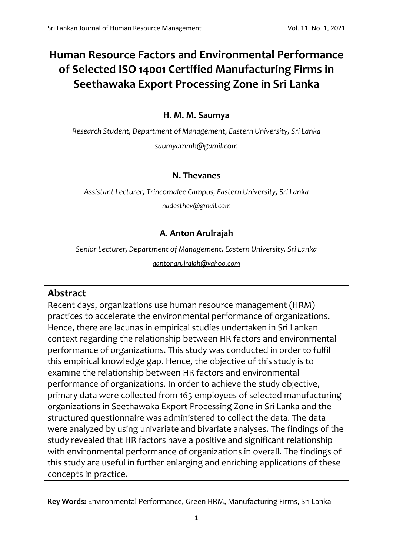# **Human Resource Factors and Environmental Performance of Selected ISO 14001 Certified Manufacturing Firms in Seethawaka Export Processing Zone in Sri Lanka**

# **H. M. M. Saumya**

*Research Student, Department of Management, Eastern University, Sri Lanka [saumyammh@gamil.com](mailto:saumyammh@gamil.com)*

# **N. Thevanes**

*Assistant Lecturer, Trincomalee Campus, Eastern University, Sri Lanka*

*[nadesthev@gmail.com](mailto:nadesthev@gmail.com)*

# **A. Anton Arulrajah**

*Senior Lecturer, Department of Management, Eastern University, Sri Lanka [aantonarulrajah@yahoo.com](mailto:aantonarulrajah@yahoo.com)*

# **Abstract**

Recent days, organizations use human resource management (HRM) practices to accelerate the environmental performance of organizations. Hence, there are lacunas in empirical studies undertaken in Sri Lankan context regarding the relationship between HR factors and environmental performance of organizations. This study was conducted in order to fulfil this empirical knowledge gap. Hence, the objective of this study is to examine the relationship between HR factors and environmental performance of organizations. In order to achieve the study objective, primary data were collected from 165 employees of selected manufacturing organizations in Seethawaka Export Processing Zone in Sri Lanka and the structured questionnaire was administered to collect the data. The data were analyzed by using univariate and bivariate analyses. The findings of the study revealed that HR factors have a positive and significant relationship with environmental performance of organizations in overall. The findings of this study are useful in further enlarging and enriching applications of these concepts in practice.

**Key Words:** Environmental Performance, Green HRM, Manufacturing Firms, Sri Lanka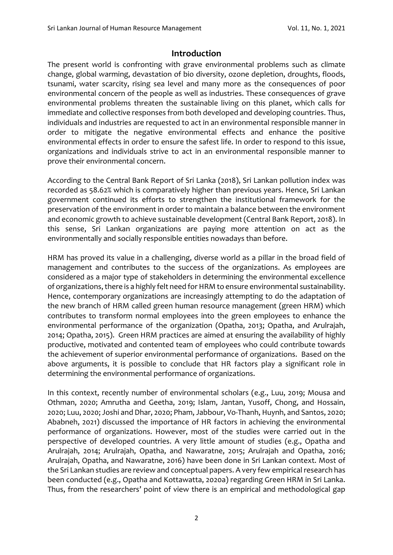# **Introduction**

The present world is confronting with grave environmental problems such as climate change, global warming, devastation of bio diversity, ozone depletion, droughts, floods, tsunami, water scarcity, rising sea level and many more as the consequences of poor environmental concern of the people as well as industries. These consequences of grave environmental problems threaten the sustainable living on this planet, which calls for immediate and collective responses from both developed and developing countries. Thus, individuals and industries are requested to act in an environmental responsible manner in order to mitigate the negative environmental effects and enhance the positive environmental effects in order to ensure the safest life. In order to respond to this issue, organizations and individuals strive to act in an environmental responsible manner to prove their environmental concern.

According to the Central Bank Report of Sri Lanka (2018), Sri Lankan pollution index was recorded as 58.62% which is comparatively higher than previous years. Hence, Sri Lankan government continued its efforts to strengthen the institutional framework for the preservation of the environment in order to maintain a balance between the environment and economic growth to achieve sustainable development (Central Bank Report, 2018). In this sense, Sri Lankan organizations are paying more attention on act as the environmentally and socially responsible entities nowadays than before.

HRM has proved its value in a challenging, diverse world as a pillar in the broad field of management and contributes to the success of the organizations. As employees are considered as a major type of stakeholders in determining the environmental excellence of organizations, there is a highly felt need for HRM to ensure environmental sustainability. Hence, contemporary organizations are increasingly attempting to do the adaptation of the new branch of HRM called green human resource management (green HRM) which contributes to transform normal employees into the green employees to enhance the environmental performance of the organization (Opatha, 2013; Opatha, and Arulrajah, 2014; Opatha, 2015). Green HRM practices are aimed at ensuring the availability of highly productive, motivated and contented team of employees who could contribute towards the achievement of superior environmental performance of organizations. Based on the above arguments, it is possible to conclude that HR factors play a significant role in determining the environmental performance of organizations.

In this context, recently number of environmental scholars (e.g., Luu, 2019; Mousa and Othman, 2020; Amrutha and Geetha, 2019; Islam, Jantan, Yusoff, Chong, and Hossain, 2020; Luu, 2020; Joshi and Dhar, 2020; Pham, Jabbour, Vo-Thanh, Huynh, and Santos, 2020; Ababneh, 2021) discussed the importance of HR factors in achieving the environmental performance of organizations. However, most of the studies were carried out in the perspective of developed countries. A very little amount of studies (e.g., Opatha and Arulrajah, 2014; Arulrajah, Opatha, and Nawaratne, 2015; Arulrajah and Opatha, 2016; Arulrajah, Opatha, and Nawaratne, 2016) have been done in Sri Lankan context. Most of the Sri Lankan studies are review and conceptual papers. A very few empirical research has been conducted (e.g., Opatha and Kottawatta, 2020a) regarding Green HRM in Sri Lanka. Thus, from the researchers' point of view there is an empirical and methodological gap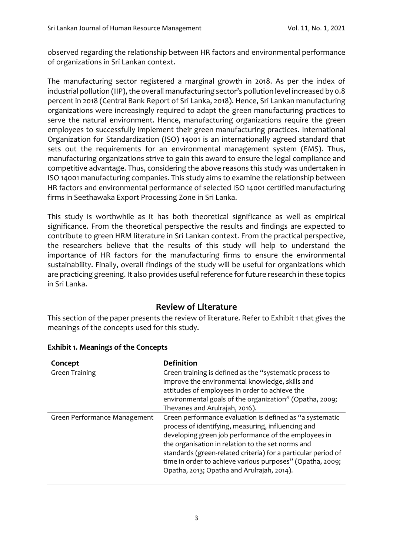observed regarding the relationship between HR factors and environmental performance of organizations in Sri Lankan context.

The manufacturing sector registered a marginal growth in 2018. As per the index of industrial pollution (IIP), the overall manufacturing sector's pollution level increased by 0.8 percent in 2018 (Central Bank Report of Sri Lanka, 2018). Hence, Sri Lankan manufacturing organizations were increasingly required to adapt the green manufacturing practices to serve the natural environment. Hence, manufacturing organizations require the green employees to successfully implement their green manufacturing practices. International Organization for Standardization (ISO) 14001 is an internationally agreed standard that sets out the requirements for an environmental management system (EMS). Thus, manufacturing organizations strive to gain this award to ensure the legal compliance and competitive advantage. Thus, considering the above reasons this study was undertaken in ISO 14001 manufacturing companies. This study aims to examine the relationship between HR factors and environmental performance of selected ISO 14001 certified manufacturing firms in Seethawaka Export Processing Zone in Sri Lanka.

This study is worthwhile as it has both theoretical significance as well as empirical significance. From the theoretical perspective the results and findings are expected to contribute to green HRM literature in Sri Lankan context. From the practical perspective, the researchers believe that the results of this study will help to understand the importance of HR factors for the manufacturing firms to ensure the environmental sustainability. Finally, overall findings of the study will be useful for organizations which are practicing greening. It also provides useful reference for future research in these topics in Sri Lanka.

# **Review of Literature**

This section of the paper presents the review of literature. Refer to Exhibit 1 that gives the meanings of the concepts used for this study.

| Concept                      | <b>Definition</b>                                                                                                                                                                                                                                                                                                                                                                                       |
|------------------------------|---------------------------------------------------------------------------------------------------------------------------------------------------------------------------------------------------------------------------------------------------------------------------------------------------------------------------------------------------------------------------------------------------------|
| <b>Green Training</b>        | Green training is defined as the "systematic process to<br>improve the environmental knowledge, skills and<br>attitudes of employees in order to achieve the<br>environmental goals of the organization" (Opatha, 2009;<br>Thevanes and Arulrajah, 2016).                                                                                                                                               |
| Green Performance Management | Green performance evaluation is defined as "a systematic<br>process of identifying, measuring, influencing and<br>developing green job performance of the employees in<br>the organisation in relation to the set norms and<br>standards (green-related criteria) for a particular period of<br>time in order to achieve various purposes" (Opatha, 2009;<br>Opatha, 2013; Opatha and Arulrajah, 2014). |

#### **Exhibit 1. Meanings of the Concepts**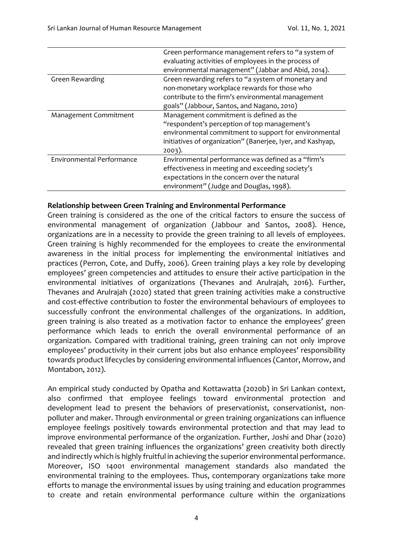|                           | Green performance management refers to "a system of        |  |  |  |  |
|---------------------------|------------------------------------------------------------|--|--|--|--|
|                           | evaluating activities of employees in the process of       |  |  |  |  |
|                           | environmental management" (Jabbar and Abid, 2014).         |  |  |  |  |
| Green Rewarding           | Green rewarding refers to "a system of monetary and        |  |  |  |  |
|                           | non-monetary workplace rewards for those who               |  |  |  |  |
|                           | contribute to the firm's environmental management          |  |  |  |  |
|                           | goals" (Jabbour, Santos, and Nagano, 2010)                 |  |  |  |  |
| Management Commitment     | Management commitment is defined as the                    |  |  |  |  |
|                           | "respondent's perception of top management's               |  |  |  |  |
|                           | environmental commitment to support for environmental      |  |  |  |  |
|                           | initiatives of organization" (Banerjee, Iyer, and Kashyap, |  |  |  |  |
|                           | $2003$ ).                                                  |  |  |  |  |
| Environmental Performance | Environmental performance was defined as a "firm's         |  |  |  |  |
|                           | effectiveness in meeting and exceeding society's           |  |  |  |  |
|                           | expectations in the concern over the natural               |  |  |  |  |
|                           | environment" (Judge and Douglas, 1998).                    |  |  |  |  |

#### **Relationship between Green Training and Environmental Performance**

Green training is considered as the one of the critical factors to ensure the success of environmental management of organization (Jabbour and Santos, 2008). Hence, organizations are in a necessity to provide the green training to all levels of employees. Green training is highly recommended for the employees to create the environmental awareness in the initial process for implementing the environmental initiatives and practices (Perron, Cote, and Duffy, 2006). Green training plays a key role by developing employees' green competencies and attitudes to ensure their active participation in the environmental initiatives of organizations (Thevanes and Arulrajah, 2016). Further, Thevanes and Arulrajah (2020) stated that green training activities make a constructive and cost-effective contribution to foster the environmental behaviours of employees to successfully confront the environmental challenges of the organizations. In addition, green training is also treated as a motivation factor to enhance the employees' green performance which leads to enrich the overall environmental performance of an organization. Compared with traditional training, green training can not only improve employees' productivity in their current jobs but also enhance employees' responsibility towards product lifecycles by considering environmental influences (Cantor, Morrow, and Montabon, 2012).

An empirical study conducted by Opatha and Kottawatta (2020b) in Sri Lankan context, also confirmed that employee feelings toward environmental protection and development lead to present the behaviors of preservationist, conservationist, nonpolluter and maker. Through environmental or green training organizations can influence employee feelings positively towards environmental protection and that may lead to improve environmental performance of the organization. Further, Joshi and Dhar (2020) revealed that green training influences the organizations' green creativity both directly and indirectly which is highly fruitful in achieving the superior environmental performance. Moreover, ISO 14001 environmental management standards also mandated the environmental training to the employees. Thus, contemporary organizations take more efforts to manage the environmental issues by using training and education programmes to create and retain environmental performance culture within the organizations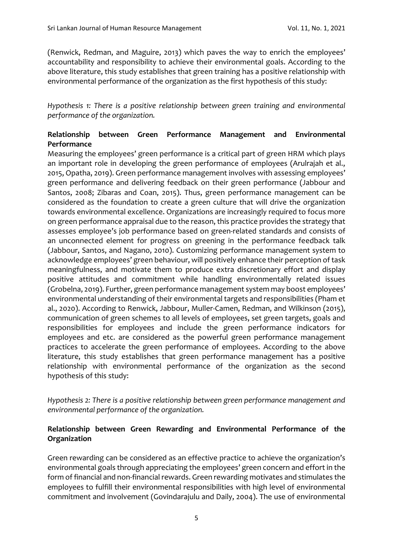(Renwick, Redman, and Maguire, 2013) which paves the way to enrich the employees' accountability and responsibility to achieve their environmental goals. According to the above literature, this study establishes that green training has a positive relationship with environmental performance of the organization as the first hypothesis of this study:

*Hypothesis 1: There is a positive relationship between green training and environmental performance of the organization.*

## **Relationship between Green Performance Management and Environmental Performance**

Measuring the employees' green performance is a critical part of green HRM which plays an important role in developing the green performance of employees (Arulrajah et al., 2015, Opatha, 2019). Green performance management involves with assessing employees' green performance and delivering feedback on their green performance (Jabbour and Santos, 2008; Zibaras and Coan, 2015). Thus, green performance management can be considered as the foundation to create a green culture that will drive the organization towards environmental excellence. Organizations are increasingly required to focus more on green performance appraisal due to the reason, this practice provides the strategy that assesses employee's job performance based on green-related standards and consists of an unconnected element for progress on greening in the performance feedback talk (Jabbour, Santos, and Nagano, 2010). Customizing performance management system to acknowledge employees' green behaviour, will positively enhance their perception of task meaningfulness, and motivate them to produce extra discretionary effort and display positive attitudes and commitment while handling environmentally related issues (Grobelna, 2019). Further, green performance management system may boost employees' environmental understanding of their environmental targets and responsibilities (Pham et al., 2020). According to Renwick, Jabbour, Muller-Camen, Redman, and Wilkinson (2015), communication of green schemes to all levels of employees, set green targets, goals and responsibilities for employees and include the green performance indicators for employees and etc. are considered as the powerful green performance management practices to accelerate the green performance of employees. According to the above literature, this study establishes that green performance management has a positive relationship with environmental performance of the organization as the second hypothesis of this study:

*Hypothesis 2: There is a positive relationship between green performance management and environmental performance of the organization.*

## **Relationship between Green Rewarding and Environmental Performance of the Organization**

Green rewarding can be considered as an effective practice to achieve the organization's environmental goals through appreciating the employees' green concern and effort in the form of financial and non-financial rewards. Green rewarding motivates and stimulates the employees to fulfill their environmental responsibilities with high level of environmental commitment and involvement (Govindarajulu and Daily, 2004). The use of environmental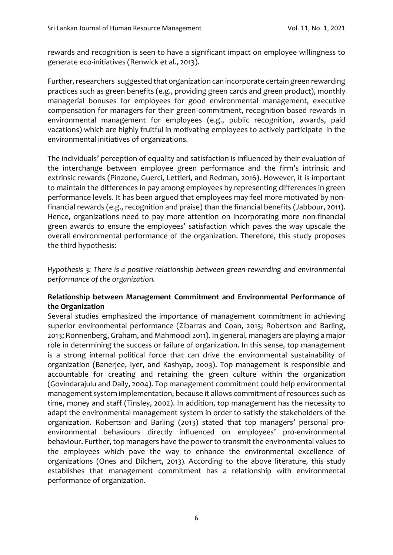rewards and recognition is seen to have a significant impact on employee willingness to generate eco-initiatives (Renwick et al., 2013).

Further, researchers suggested that organization can incorporate certain green rewarding practices such as green benefits (e.g., providing green cards and green product), monthly managerial bonuses for employees for good environmental management, executive compensation for managers for their green commitment, recognition based rewards in environmental management for employees (e.g., public recognition, awards, paid vacations) which are highly fruitful in motivating employees to actively participate in the environmental initiatives of organizations.

The individuals' perception of equality and satisfaction is influenced by their evaluation of the interchange between employee green performance and the firm's intrinsic and extrinsic rewards (Pinzone, Guerci, Lettieri, and Redman, 2016). However, it is important to maintain the differences in pay among employees by representing differences in green performance levels. It has been argued that employees may feel more motivated by nonfinancial rewards (e.g., recognition and praise) than the financial benefits (Jabbour, 2011). Hence, organizations need to pay more attention on incorporating more non-financial green awards to ensure the employees' satisfaction which paves the way upscale the overall environmental performance of the organization. Therefore, this study proposes the third hypothesis:

*Hypothesis 3: There is a positive relationship between green rewarding and environmental performance of the organization.*

#### **Relationship between Management Commitment and Environmental Performance of the Organization**

Several studies emphasized the importance of management commitment in achieving superior environmental performance (Zibarras and Coan, 2015; Robertson and Barling, 2013; Ronnenberg, Graham, and Mahmoodi 2011). In general, managers are playing a major role in determining the success or failure of organization. In this sense, top management is a strong internal political force that can drive the environmental sustainability of organization (Banerjee, Iyer, and Kashyap, 2003). Top management is responsible and accountable for creating and retaining the green culture within the organization (Govindarajulu and Daily, 2004). Top management commitment could help environmental management system implementation, because it allows commitment of resources such as time, money and staff (Tinsley, 2002). In addition, top management has the necessity to adapt the environmental management system in order to satisfy the stakeholders of the organization. Robertson and Barling (2013) stated that top managers' personal proenvironmental behaviours directly influenced on employees' pro-environmental behaviour. Further, top managers have the power to transmit the environmental values to the employees which pave the way to enhance the environmental excellence of organizations (Ones and Dilchert, 2013). According to the above literature, this study establishes that management commitment has a relationship with environmental performance of organization.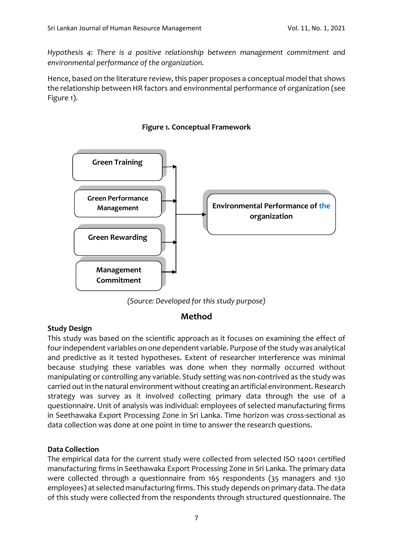*Hypothesis 4: There is a positive relationship between management commitment and environmental performance of the organization.*

Hence, based on the literature review, this paper proposes a conceptual model that shows the relationship between HR factors and environmental performance of organization (see Figure 1).



**Figure 1. Conceptual Framework**



# **Method**

#### **Study Design**

This study was based on the scientific approach as it focuses on examining the effect of fourindependent variables on one dependent variable. Purpose of the study was analytical and predictive as it tested hypotheses. Extent of researcher interference was minimal because studying these variables was done when they normally occurred without manipulating or controlling any variable. Study setting was non-contrived as the study was carried out in the natural environment without creating an artificial environment. Research strategy was survey as it involved collecting primary data through the use of a questionnaire. Unit of analysis was individual: employees of selected manufacturing firms in Seethawaka Export Processing Zone in Sri Lanka. Time horizon was cross-sectional as data collection was done at one point in time to answer the research questions.

#### **Data Collection**

The empirical data for the current study were collected from selected ISO 14001 certified manufacturing firms in Seethawaka Export Processing Zone in Sri Lanka. The primary data were collected through a questionnaire from 165 respondents (35 managers and 130 employees) at selected manufacturing firms. This study depends on primary data. The data of this study were collected from the respondents through structured questionnaire. The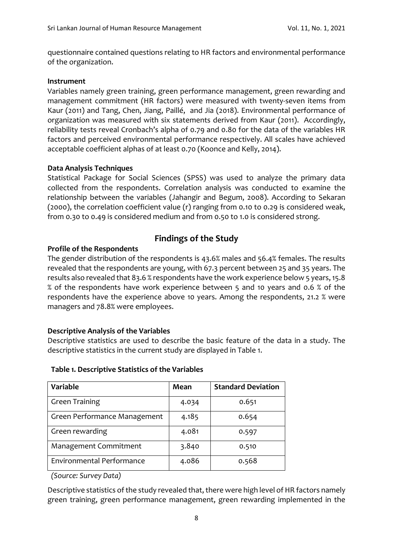questionnaire contained questions relating to HR factors and environmental performance of the organization.

#### **Instrument**

Variables namely green training, green performance management, green rewarding and management commitment (HR factors) were measured with twenty-seven items from Kaur (2011) and Tang, Chen, Jiang, Paillé, and Jia (2018). Environmental performance of organization was measured with six statements derived from Kaur (2011). Accordingly, reliability tests reveal Cronbach's alpha of 0.79 and 0.80 for the data of the variables HR factors and perceived environmental performance respectively. All scales have achieved acceptable coefficient alphas of at least 0.70 (Koonce and Kelly, 2014).

#### **Data Analysis Techniques**

Statistical Package for Social Sciences (SPSS) was used to analyze the primary data collected from the respondents. Correlation analysis was conducted to examine the relationship between the variables (Jahangir and Begum, 2008). According to Sekaran (2000), the correlation coefficient value (r) ranging from 0.10 to 0.29 is considered weak, from 0.30 to 0.49 is considered medium and from 0.50 to 1.0 is considered strong.

# **Findings of the Study**

#### **Profile of the Respondents**

The gender distribution of the respondents is 43.6% males and 56.4% females. The results revealed that the respondents are young, with 67.3 percent between 25 and 35 years. The results also revealed that 83.6 % respondents have the work experience below 5 years, 15.8 % of the respondents have work experience between 5 and 10 years and 0.6 % of the respondents have the experience above 10 years. Among the respondents, 21.2 % were managers and 78.8% were employees.

#### **Descriptive Analysis of the Variables**

Descriptive statistics are used to describe the basic feature of the data in a study. The descriptive statistics in the current study are displayed in Table 1.

| Variable                         | Mean  | <b>Standard Deviation</b> |
|----------------------------------|-------|---------------------------|
| <b>Green Training</b>            | 4.034 | 0.651                     |
| Green Performance Management     | 4.185 | 0.654                     |
| Green rewarding                  | 4.081 | 0.597                     |
| Management Commitment            | 3.840 | 0.510                     |
| <b>Environmental Performance</b> | 4.086 | 0.568                     |

*(Source: Survey Data)*

Descriptive statistics of the study revealed that, there were high level of HR factors namely green training, green performance management, green rewarding implemented in the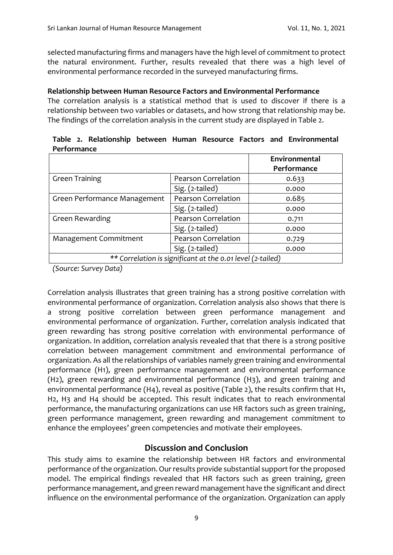selected manufacturing firms and managers have the high level of commitment to protect the natural environment. Further, results revealed that there was a high level of environmental performance recorded in the surveyed manufacturing firms.

#### **Relationship between Human Resource Factors and Environmental Performance**

The correlation analysis is a statistical method that is used to discover if there is a relationship between two variables or datasets, and how strong that relationship may be. The findings of the correlation analysis in the current study are displayed in Table 2.

|                                                            |                            | Environmental<br>Performance |  |  |  |
|------------------------------------------------------------|----------------------------|------------------------------|--|--|--|
| <b>Green Training</b>                                      | Pearson Correlation        | 0.633                        |  |  |  |
|                                                            | Sig. (2-tailed)            | 0.000                        |  |  |  |
| Green Performance Management                               | <b>Pearson Correlation</b> | 0.685                        |  |  |  |
|                                                            | Sig. (2-tailed)            | 0.000                        |  |  |  |
| <b>Green Rewarding</b>                                     | <b>Pearson Correlation</b> | 0.711                        |  |  |  |
|                                                            | Sig. (2-tailed)            | 0.000                        |  |  |  |
| Management Commitment                                      | Pearson Correlation        | 0.729                        |  |  |  |
|                                                            | Sig. (2-tailed)            | 0.000                        |  |  |  |
| ** Correlation is significant at the 0.01 level (2-tailed) |                            |                              |  |  |  |

|             |  |  |  | Table 2. Relationship between Human Resource Factors and Environmental |
|-------------|--|--|--|------------------------------------------------------------------------|
| Performance |  |  |  |                                                                        |

*(Source: Survey Data)*

Correlation analysis illustrates that green training has a strong positive correlation with environmental performance of organization. Correlation analysis also shows that there is a strong positive correlation between green performance management and environmental performance of organization. Further, correlation analysis indicated that green rewarding has strong positive correlation with environmental performance of organization. In addition, correlation analysis revealed that that there is a strong positive correlation between management commitment and environmental performance of organization. As all the relationships of variables namely green training and environmental performance (H1), green performance management and environmental performance (H2), green rewarding and environmental performance (H3), and green training and environmental performance (H4), reveal as positive (Table 2), the results confirm that H1, H2, H3 and H4 should be accepted. This result indicates that to reach environmental performance, the manufacturing organizations can use HR factors such as green training, green performance management, green rewarding and management commitment to enhance the employees' green competencies and motivate their employees.

# **Discussion and Conclusion**

This study aims to examine the relationship between HR factors and environmental performance of the organization. Our results provide substantial support for the proposed model. The empirical findings revealed that HR factors such as green training, green performance management, and green reward management have the significant and direct influence on the environmental performance of the organization. Organization can apply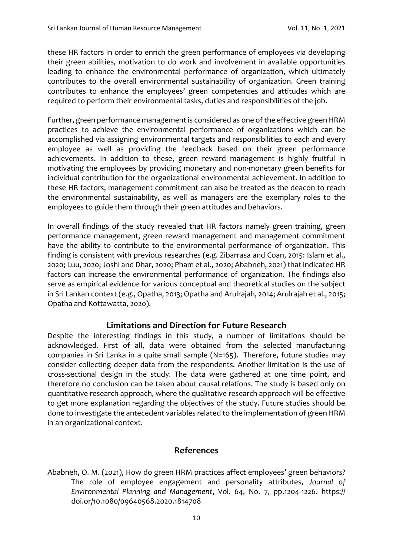these HR factors in order to enrich the green performance of employees via developing their green abilities, motivation to do work and involvement in available opportunities leading to enhance the environmental performance of organization, which ultimately contributes to the overall environmental sustainability of organization. Green training contributes to enhance the employees' green competencies and attitudes which are required to perform their environmental tasks, duties and responsibilities of the job.

Further, green performance management is considered as one of the effective green HRM practices to achieve the environmental performance of organizations which can be accomplished via assigning environmental targets and responsibilities to each and every employee as well as providing the feedback based on their green performance achievements. In addition to these, green reward management is highly fruitful in motivating the employees by providing monetary and non-monetary green benefits for individual contribution for the organizational environmental achievement. In addition to these HR factors, management commitment can also be treated as the deacon to reach the environmental sustainability, as well as managers are the exemplary roles to the employees to guide them through their green attitudes and behaviors.

In overall findings of the study revealed that HR factors namely green training, green performance management, green reward management and management commitment have the ability to contribute to the environmental performance of organization. This finding is consistent with previous researches (e.g. Zibarrasa and Coan, 2015: Islam et al., 2020; Luu, 2020; Joshi and Dhar, 2020; Pham et al., 2020; Ababneh, 2021) that indicated HR factors can increase the environmental performance of organization. The findings also serve as empirical evidence for various conceptual and theoretical studies on the subject in Sri Lankan context (e.g., Opatha, 2013; Opatha and Arulrajah, 2014; Arulrajah et al., 2015; Opatha and Kottawatta, 2020).

#### **Limitations and Direction for Future Research**

Despite the interesting findings in this study, a number of limitations should be acknowledged. First of all, data were obtained from the selected manufacturing companies in Sri Lanka in a quite small sample (N=165). Therefore, future studies may consider collecting deeper data from the respondents. Another limitation is the use of cross-sectional design in the study. The data were gathered at one time point, and therefore no conclusion can be taken about causal relations. The study is based only on quantitative research approach, where the qualitative research approach will be effective to get more explanation regarding the objectives of the study. Future studies should be done to investigate the antecedent variables related to the implementation of green HRM in an organizational context.

# **References**

Ababneh, O. M. (2021), How do green HRM practices affect employees' green behaviors? The role of employee engagement and personality attributes, *Journal of Environmental Planning and Management*, Vol. 64, No. 7, pp.1204-1226. https:// doi.or/10.1080/09640568.2020.1814708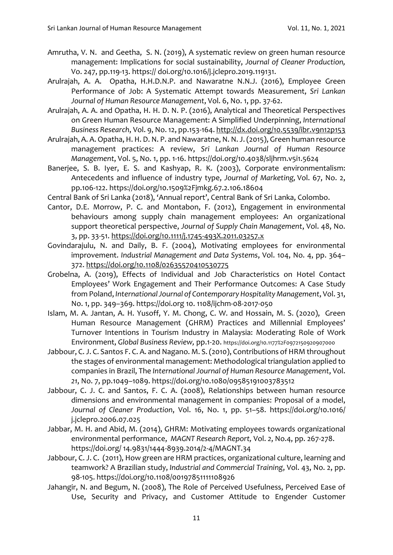- Amrutha, V. N. and Geetha, S. N. (2019), A systematic review on green human resource management: Implications for social sustainability, *Journal of Cleaner Production,*  Vo. 247, pp.119-13. https:// doi.org/10.1016/j.jclepro.2019.119131.
- Arulrajah, A. A. Opatha, H.H.D.N.P. and Nawaratne N.N.J. (2016), Employee Green Performance of Job: A Systematic Attempt towards Measurement, *Sri Lankan Journal of Human Resource Management*, Vol. 6, No. 1, pp. 37-62.
- Arulrajah, A. A. and Opatha, H. H. D. N. P. (2016), Analytical and Theoretical Perspectives on Green Human Resource Management: A Simplified Underpinning, *International Business Research*, Vol. 9, No. 12, pp.153-164.<http://dx.doi.org/10.5539/ibr.v9n12p153>
- Arulrajah, A. A.Opatha, H. H. D. N. P. and Nawaratne, N. N. J.(2015), Green human resource management practices: A review, *Sri Lankan Journal of Human Resource Management*, Vol. 5, No. 1, pp. 1-16[. https://doi.org/10.4038/sljhrm.v5i1.5624](https://doi.org/10.4038/sljhrm.v5i1.5624)
- Banerjee, S. B. Iyer, E. S. and Kashyap, R. K. (2003), Corporate environmentalism: Antecedents and influence of industry type, *Journal of Marketing,* Vol. 67, No. 2, pp.106-122. https://doi.org/10.1509%2Fjmkg.67.2.106.18604
- Central Bank of Sri Lanka (2018), 'Annual report', Central Bank of Sri Lanka, Colombo.
- Cantor, D.E. Morrow, P. C. and Montabon, F. (2012), Engagement in environmental behaviours among supply chain management employees: An organizational support theoretical perspective, *Journal of Supply Chain Management*, Vol. 48, No. 3, pp. 33-51. <https://doi.org/10.1111/j.1745-493X.2011.03257.x>
- Govindarajulu, N. and Daily, B. F. (2004), Motivating employees for environmental improvement. *Industrial Management and Data Systems*, Vol. 104, No. 4, pp. 364– 372. <https://doi.org/10.1108/02635570410530775>
- Grobelna, A. (2019), Effects of Individual and Job Characteristics on Hotel Contact Employees' Work Engagement and Their Performance Outcomes: A Case Study from Poland, *International Journal of Contemporary Hospitality Management*, Vol. 31, No. 1, pp. 349–369. https://doi.org 10. 1108/ijchm-08-2017-050
- Islam, M. A. Jantan, A. H. Yusoff, Y. M. Chong, C. W. and Hossain, M. S. (2020), Green Human Resource Management (GHRM) Practices and Millennial Employees' Turnover Intentions in Tourism Industry in Malaysia: Moderating Role of Work Environment, *Global Business Review,* pp.1-20. https://doi.org/10.1177%2F0972150920907000
- Jabbour, C. J. C. Santos F. C. A. and Nagano. M. S.(2010), Contributions of HRM throughout the stages of environmental management: Methodological triangulation applied to companies in Brazil, The *International Journal of Human Resource Management*, Vol. *21*, No. 7, pp.1049–1089. https://doi.org/10.1080/09585191003783512
- Jabbour, C. J. C. and Santos, F. C. A. (2008), Relationships between human resource dimensions and environmental management in companies: Proposal of a model, *Journal of Cleaner Production*, Vol. 16, No. 1, pp. 51–58. https://doi.org/10.1016/ j.jclepro.2006.07.025
- Jabbar, M. H. and Abid, M. (2014), GHRM: Motivating employees towards organizational environmental performance, *MAGNT Research Report,* Vol. *2*, No.4, pp. 267-278. https://doi.org/ 14.9831/1444-8939.2014/2-4/MAGNT.34
- Jabbour, C. J. C. (2011), How green are HRM practices, organizational culture, learning and teamwork? A Brazilian study, *[Industrial and Commercial Training](https://www.emerald.com/insight/publication/issn/0019-7858)*, Vol. 43, No. 2, pp. 98-105. <https://doi.org/10.1108/00197851111108926>
- Jahangir, N. and Begum, N. (2008), The Role of Perceived Usefulness, Perceived Ease of Use, Security and Privacy, and Customer Attitude to Engender Customer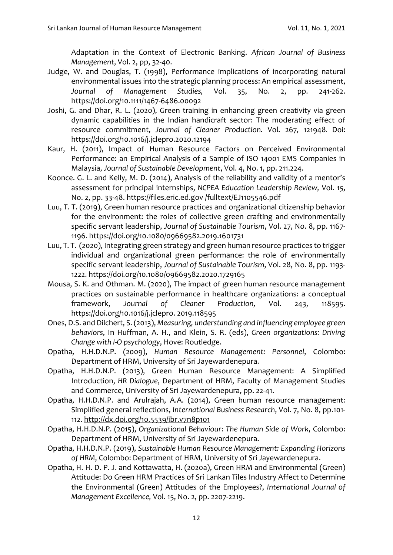Adaptation in the Context of Electronic Banking. *African Journal of Business Management*, Vol. 2, pp, 32-40.

- Judge, W. and Douglas, T. (1998), Performance implications of incorporating natural environmental issues into the strategic planning process: An empirical assessment, *Journal of Management Studies,* Vol. 35, No. 2, pp. 241-262. https://doi.org/10.1111/1467-6486.00092
- Joshi, G. and Dhar, R. L. (2020), Green training in enhancing green creativity via green dynamic capabilities in the Indian handicraft sector: The moderating effect of resource commitment, *Journal of Cleaner Production.* Vol. 267*,* 121948. Doi: <https://doi.org/10.1016/j.jclepro.2020.12194>
- Kaur, H. (2011), Impact of Human Resource Factors on Perceived Environmental Performance: an Empirical Analysis of a Sample of ISO 14001 EMS Companies in Malaysia, *Journal of Sustainable Development*, Vol. 4, No. 1, pp. 211.224.
- Koonce. G. L. and Kelly, M. D. (2014), Analysis of the reliability and validity of a mentor's assessment for principal internships, *NCPEA Education Leadership Review,* Vol. 1*5*, No. 2, pp. 33-48. https://files.eric.ed.gov /fulltext/EJ1105546.pdf
- Luu, T. T. (2019), Green human resource practices and organizational citizenship behavior for the environment: the roles of collective green crafting and environmentally specific servant leadership, *Journal of Sustainable Tourism*, Vol. 27, No. 8, pp. 1167- 1196. https://doi.org/10.1080/09669582.2019.1601731
- Luu, T. T. (2020), Integrating green strategy and green human resource practices to trigger individual and organizational green performance: the role of environmentally specific servant leadership, *Journal of Sustainable Tourism*, Vol. 28, No. 8, pp. 1193- 1222. https://doi.org/10.1080/09669582.2020.1729165
- Mousa, S. K. and Othman. M. (2020), The impact of green human resource management practices on sustainable performance in healthcare organizations: a conceptual framework, *Journal of Cleaner Production,* Vol. 243, 118595. [https://doi.org/10.1016/j.jclepro. 2019.118595](https://doi.org/10.1016/j.jclepro.%202019.118595)
- Ones, D.S. and Dilchert, S. (2013), *Measuring, understanding and influencing employee green behaviors*, In Huffman, A. H., and Klein, S. R. (eds), *Green organizations: Driving Change with I-O psychology*, Hove: Routledge.
- Opatha, H.H.D.N.P. (2009), *Human Resource Management: Personnel*, Colombo: Department of HRM, University of Sri Jayewardenepura.
- Opatha, H.H.D.N.P. (2013), Green Human Resource Management: A Simplified Introduction, *HR Dialogue*, Department of HRM, Faculty of Management Studies and Commerce, University of Sri Jayewardenepura, pp. 22-41.
- Opatha, H.H.D.N.P. and Arulrajah, A.A. (2014), Green human resource management: Simplified general reflections, *International Business Research*, Vol. 7, No. 8, pp.101- 112.<http://dx.doi.org/10.5539/ibr.v7n8p101>
- Opatha, H.H.D.N.P. (2015), *Organizational Behaviour*: *The Human Side of Work*, Colombo: Department of HRM, University of Sri Jayewardenepura.
- Opatha, H.H.D.N.P. (2019), *Sustainable Human Resource Management: Expanding Horizons of HRM*, Colombo: Department of HRM, University of Sri Jayewardenepura.
- Opatha, H. H. D. P. J. and Kottawatta, H. (2020a), Green HRM and Environmental (Green) Attitude: Do Green HRM Practices of Sri Lankan Tiles Industry Affect to Determine the Environmental (Green) Attitudes of the Employees?, *International Journal of Management Excellence,* Vol. 15, No. 2, pp. 2207-2219.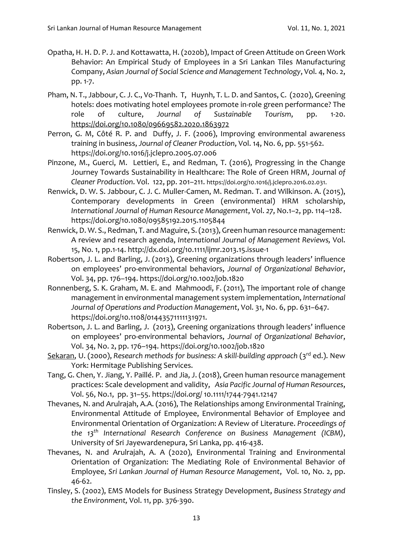- Opatha, H. H. D. P. J. and Kottawatta, H. (2020b), [Impact of Green Attitude on Green Work](https://www.researchgate.net/profile/Hhd-Pooja-Jayani-Opatha/publication/342898563_Impact_of_Green_Attitude_on_Green_Work_Behavior_An_Empirical_Study_of_Employees_in_a_Sri_Lankan_Tiles_Manufacturing_Company/links/5f0c72c4a6fdcc2f32336e05/Impact-of-Green-Attitude-on-Green-Work-Behavior-An-Empirical-Study-of-Employees-in-a-Sri-Lankan-Tiles-Manufacturing-Company.pdf)  [Behavior: An Empirical Study of Employees in a Sri Lankan Tiles Manufacturing](https://www.researchgate.net/profile/Hhd-Pooja-Jayani-Opatha/publication/342898563_Impact_of_Green_Attitude_on_Green_Work_Behavior_An_Empirical_Study_of_Employees_in_a_Sri_Lankan_Tiles_Manufacturing_Company/links/5f0c72c4a6fdcc2f32336e05/Impact-of-Green-Attitude-on-Green-Work-Behavior-An-Empirical-Study-of-Employees-in-a-Sri-Lankan-Tiles-Manufacturing-Company.pdf)  [Company,](https://www.researchgate.net/profile/Hhd-Pooja-Jayani-Opatha/publication/342898563_Impact_of_Green_Attitude_on_Green_Work_Behavior_An_Empirical_Study_of_Employees_in_a_Sri_Lankan_Tiles_Manufacturing_Company/links/5f0c72c4a6fdcc2f32336e05/Impact-of-Green-Attitude-on-Green-Work-Behavior-An-Empirical-Study-of-Employees-in-a-Sri-Lankan-Tiles-Manufacturing-Company.pdf) *Asian Journal of Social Science and Management Technology*, Vol. 4, No. 2, pp. 1-7.
- Pham, N. T., Jabbour, C. J. C., Vo-Thanh. T, Huynh, T. L. D. and Santos, C. (2020), Greening hotels: does motivating hotel employees promote in-role green performance? The role of culture, *Journal of Sustainable Tourism*, pp. 1-20. <https://doi.org/10.1080/09669582.2020.1863972>
- Perron, G. M, Côté R. P. and Duffy, J. F. (2006), Improving environmental awareness training in business, *Journal of Cleaner Production*, Vol. 14, No. 6, pp. 551-562. https://doi.org/10.1016/j.jclepro.2005.07.006
- Pinzone, M., Guerci, M. Lettieri, E., and Redman, T. (2016), Progressing in the Change Journey Towards Sustainability in Healthcare: The Role of Green HRM, Journal *of Cleaner Production*. Vol. 122, pp. 201–211. [https://doi.org/10.1016/j.jclepro.2016.02.031.](https://doi.org/10.1016/j.jclepro.2016.02.031)
- Renwick, D. W. S. Jabbour, C. J. C. Muller-Camen, M. Redman. T. and Wilkinson. A. (2015), Contemporary developments in Green (environmental) HRM scholarship, *International Journal of Human Resource Management*, Vol. *27*, No.1–2, pp. 114–128. https://doi.org/10.1080/09585192.2015.1105844
- Renwick, D. W. S., Redman, T. and Maguire, S. (2013), Green human resource management: A review and research agenda, *International Journal of Management Reviews,* Vol. 15, No. 1, pp.1-14. http://dx.doi.org/10.1111/ijmr.2013.15.issue-1
- Robertson, J. L. and Barling, J. (2013), Greening organizations through leaders' influence on employees' pro-environmental behaviors, *Journal of Organizational Behavior*, Vol. 34, pp. 176–194. https://doi.org/10.1002/job.1820
- Ronnenberg, S. K. Graham, M. E. and Mahmoodi, F. (2011), The important role of change management in environmental management system implementation, *International Journal of Operations and Production Management*, Vol. 31, No. 6, pp. 631–647. https://doi.org/10.1108/01443571111131971.
- Robertson, J. L. and Barling, J. (2013), Greening organizations through leaders' influence on employees' pro-environmental behaviors, *Journal of Organizational Behavior*, Vol. 34, No. 2, pp. 176–194. <https://doi.org/10.1002/job.1820>
- Sekaran, U. (2000), *Research methods for business: A skill-building approach* (3<sup>rd</sup> ed.). New York: Hermitage Publishing Services.
- Tang, G. Chen, Y. Jiang, Y. Paillé. P. and Jia, J. (2018), Green human resource management practices: Scale development and validity, *Asia Pacific Journal of Human Resources*, Vol. 56, No.1, pp. 31–55. https://doi.org/ 10.1111/1744‐7941.12147
- Thevanes, N. and Arulrajah, A.A. (2016), The Relationships among Environmental Training, Environmental Attitude of Employee, Environmental Behavior of Employee and Environmental Orientation of Organization: A Review of Literature. *Proceedings of the 13th International Research Conference on Business Management (ICBM)*, University of Sri Jayewardenepura, Sri Lanka, pp. 416-438.
- Thevanes, N. and Arulrajah, A. A (2020), Environmental Training and Environmental Orientation of Organization: The Mediating Role of Environmental Behavior of Employee, *Sri Lankan Journal of Human Resource Management*, Vol. 10, No. 2, pp. 46-62.
- Tinsley, S. (2002), EMS Models for Business Strategy Development, *Business Strategy and the Environment,* Vol. 11, pp. 376-390.